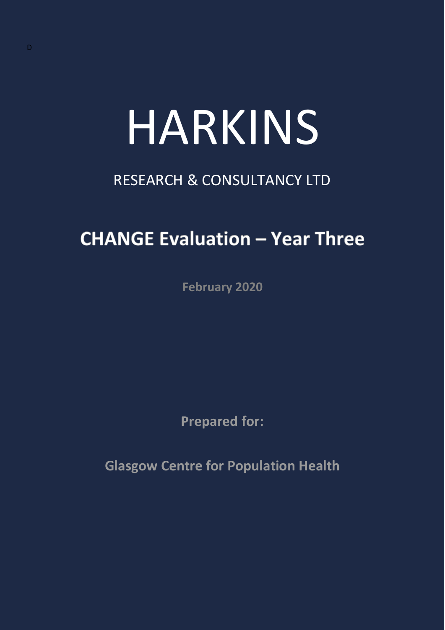# HARKINS

## RESEARCH & CONSULTANCY LTD

## **CHANGE Evaluation - Year Three**

**February 2020**

**Prepared for:**

**Glasgow Centre for Population Health**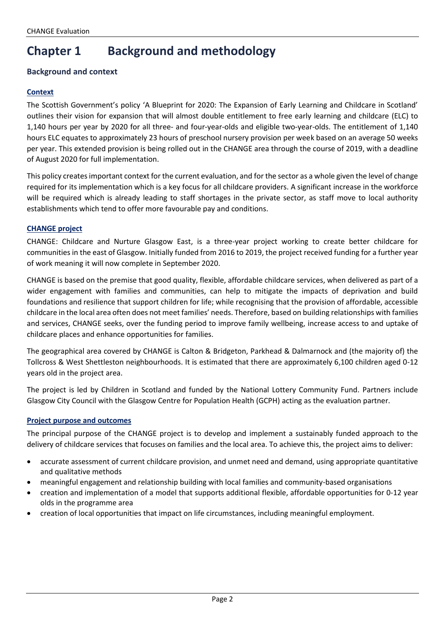## **Chapter 1 Background and methodology**

#### **Background and context**

#### **Context**

The Scottish Government's policy 'A Blueprint for 2020: The Expansion of Early Learning and Childcare in Scotland' outlines their vision for expansion that will almost double entitlement to free early learning and childcare (ELC) to 1,140 hours per year by 2020 for all three- and four-year-olds and eligible two-year-olds. The entitlement of 1,140 hours ELC equates to approximately 23 hours of preschool nursery provision per week based on an average 50 weeks per year. This extended provision is being rolled out in the CHANGE area through the course of 2019, with a deadline of August 2020 for full implementation.

This policy creates important context for the current evaluation, and for the sector as a whole given the level of change required for its implementation which is a key focus for all childcare providers. A significant increase in the workforce will be required which is already leading to staff shortages in the private sector, as staff move to local authority establishments which tend to offer more favourable pay and conditions.

#### **CHANGE project**

CHANGE: Childcare and Nurture Glasgow East, is a three-year project working to create better childcare for communities in the east of Glasgow. Initially funded from 2016 to 2019, the project received funding for a further year of work meaning it will now complete in September 2020.

CHANGE is based on the premise that good quality, flexible, affordable childcare services, when delivered as part of a wider engagement with families and communities, can help to mitigate the impacts of deprivation and build foundations and resilience that support children for life; while recognising that the provision of affordable, accessible childcare in the local area often does not meet families' needs. Therefore, based on building relationships with families and services, CHANGE seeks, over the funding period to improve family wellbeing, increase access to and uptake of childcare places and enhance opportunities for families.

The geographical area covered by CHANGE is Calton & Bridgeton, Parkhead & Dalmarnock and (the majority of) the Tollcross & West Shettleston neighbourhoods. It is estimated that there are approximately 6,100 children aged 0-12 years old in the project area.

The project is led by [Children in Scotland](http://www.childreninscotland.org.uk/) and funded by the [National Lottery Community Fund.](https://www.tnlcommunityfund.org.uk/) Partners include Glasgow City Council with the [Glasgow Centre for Population Health \(GCPH\)](http://www.gcph.co.uk/) acting as the evaluation partner.

#### **Project purpose and outcomes**

The principal purpose of the CHANGE project is to develop and implement a sustainably funded approach to the delivery of childcare services that focuses on families and the local area. To achieve this, the project aims to deliver:

- accurate assessment of current childcare provision, and unmet need and demand, using appropriate quantitative and qualitative methods
- meaningful engagement and relationship building with local families and community-based organisations
- creation and implementation of a model that supports additional flexible, affordable opportunities for 0-12 year olds in the programme area
- creation of local opportunities that impact on life circumstances, including meaningful employment.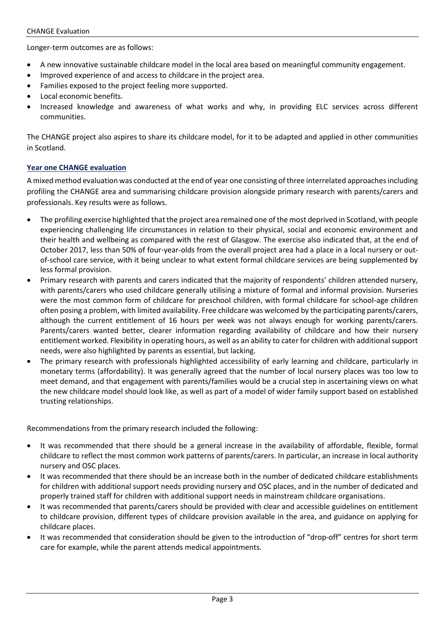#### CHANGE Evaluation

Longer-term outcomes are as follows:

- A new innovative sustainable childcare model in the local area based on meaningful community engagement.
- Improved experience of and access to childcare in the project area.
- Families exposed to the project feeling more supported.
- Local economic benefits.
- Increased knowledge and awareness of what works and why, in providing ELC services across different communities.

The CHANGE project also aspires to share its childcare model, for it to be adapted and applied in other communities in Scotland.

#### **Year one CHANGE evaluation**

A mixed method evaluation was conducted at the end of year one consisting of three interrelated approachesincluding profiling the CHANGE area and summarising childcare provision alongside primary research with parents/carers and professionals. Key results were as follows.

- The profiling exercise highlighted that the project area remained one of the most deprived in Scotland, with people experiencing challenging life circumstances in relation to their physical, social and economic environment and their health and wellbeing as compared with the rest of Glasgow. The exercise also indicated that, at the end of October 2017, less than 50% of four-year-olds from the overall project area had a place in a local nursery or outof-school care service, with it being unclear to what extent formal childcare services are being supplemented by less formal provision.
- Primary research with parents and carers indicated that the majority of respondents' children attended nursery, with parents/carers who used childcare generally utilising a mixture of formal and informal provision. Nurseries were the most common form of childcare for preschool children, with formal childcare for school-age children often posing a problem, with limited availability. Free childcare was welcomed by the participating parents/carers, although the current entitlement of 16 hours per week was not always enough for working parents/carers. Parents/carers wanted better, clearer information regarding availability of childcare and how their nursery entitlement worked. Flexibility in operating hours, as well as an ability to cater for children with additional support needs, were also highlighted by parents as essential, but lacking.
- The primary research with professionals highlighted accessibility of early learning and childcare, particularly in monetary terms (affordability). It was generally agreed that the number of local nursery places was too low to meet demand, and that engagement with parents/families would be a crucial step in ascertaining views on what the new childcare model should look like, as well as part of a model of wider family support based on established trusting relationships.

Recommendations from the primary research included the following:

- It was recommended that there should be a general increase in the availability of affordable, flexible, formal childcare to reflect the most common work patterns of parents/carers. In particular, an increase in local authority nursery and OSC places.
- It was recommended that there should be an increase both in the number of dedicated childcare establishments for children with additional support needs providing nursery and OSC places, and in the number of dedicated and properly trained staff for children with additional support needs in mainstream childcare organisations.
- It was recommended that parents/carers should be provided with clear and accessible guidelines on entitlement to childcare provision, different types of childcare provision available in the area, and guidance on applying for childcare places.
- It was recommended that consideration should be given to the introduction of "drop-off" centres for short term care for example, while the parent attends medical appointments.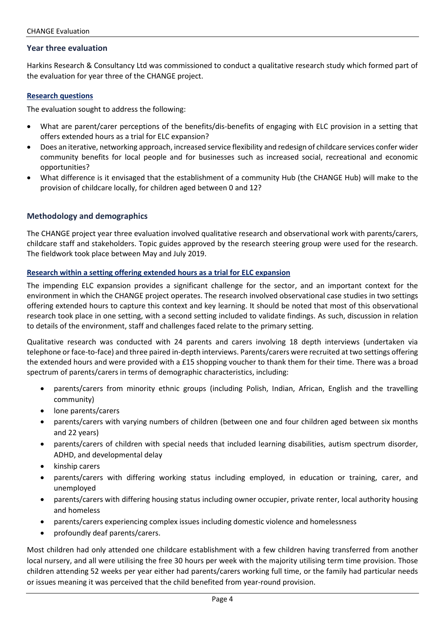#### **Year three evaluation**

Harkins Research & Consultancy Ltd was commissioned to conduct a qualitative research study which formed part of the evaluation for year three of the CHANGE project.

#### **Research questions**

The evaluation sought to address the following:

- What are parent/carer perceptions of the benefits/dis-benefits of engaging with ELC provision in a setting that offers extended hours as a trial for ELC expansion?
- Does an iterative, networking approach, increased service flexibility and redesign of childcare services confer wider community benefits for local people and for businesses such as increased social, recreational and economic opportunities?
- What difference is it envisaged that the establishment of a community Hub (the CHANGE Hub) will make to the provision of childcare locally, for children aged between 0 and 12?

#### **Methodology and demographics**

The CHANGE project year three evaluation involved qualitative research and observational work with parents/carers, childcare staff and stakeholders. Topic guides approved by the research steering group were used for the research. The fieldwork took place between May and July 2019.

#### **Research within a setting offering extended hours as a trial for ELC expansion**

The impending ELC expansion provides a significant challenge for the sector, and an important context for the environment in which the CHANGE project operates. The research involved observational case studies in two settings offering extended hours to capture this context and key learning. It should be noted that most of this observational research took place in one setting, with a second setting included to validate findings. As such, discussion in relation to details of the environment, staff and challenges faced relate to the primary setting.

Qualitative research was conducted with 24 parents and carers involving 18 depth interviews (undertaken via telephone or face-to-face) and three paired in-depth interviews. Parents/carers were recruited at two settings offering the extended hours and were provided with a £15 shopping voucher to thank them for their time. There was a broad spectrum of parents/carers in terms of demographic characteristics, including:

- parents/carers from minority ethnic groups (including Polish, Indian, African, English and the travelling community)
- lone parents/carers
- parents/carers with varying numbers of children (between one and four children aged between six months and 22 years)
- parents/carers of children with special needs that included learning disabilities, autism spectrum disorder, ADHD, and developmental delay
- kinship carers
- parents/carers with differing working status including employed, in education or training, carer, and unemployed
- parents/carers with differing housing status including owner occupier, private renter, local authority housing and homeless
- parents/carers experiencing complex issues including domestic violence and homelessness
- profoundly deaf parents/carers.

Most children had only attended one childcare establishment with a few children having transferred from another local nursery, and all were utilising the free 30 hours per week with the majority utilising term time provision. Those children attending 52 weeks per year either had parents/carers working full time, or the family had particular needs or issues meaning it was perceived that the child benefited from year-round provision.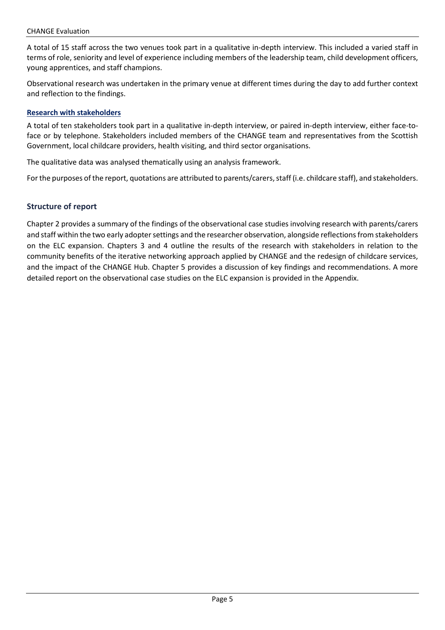A total of 15 staff across the two venues took part in a qualitative in-depth interview. This included a varied staff in terms of role, seniority and level of experience including members of the leadership team, child development officers, young apprentices, and staff champions.

Observational research was undertaken in the primary venue at different times during the day to add further context and reflection to the findings.

#### **Research with stakeholders**

A total of ten stakeholders took part in a qualitative in-depth interview, or paired in-depth interview, either face-toface or by telephone. Stakeholders included members of the CHANGE team and representatives from the Scottish Government, local childcare providers, health visiting, and third sector organisations.

The qualitative data was analysed thematically using an analysis framework.

For the purposes of the report, quotations are attributed to parents/carers, staff (i.e. childcare staff), and stakeholders.

#### **Structure of report**

Chapter 2 provides a summary of the findings of the observational case studies involving research with parents/carers and staff within the two early adopter settings and the researcher observation, alongside reflections from stakeholders on the ELC expansion. Chapters 3 and 4 outline the results of the research with stakeholders in relation to the community benefits of the iterative networking approach applied by CHANGE and the redesign of childcare services, and the impact of the CHANGE Hub. Chapter 5 provides a discussion of key findings and recommendations. A more detailed report on the observational case studies on the ELC expansion is provided in the Appendix.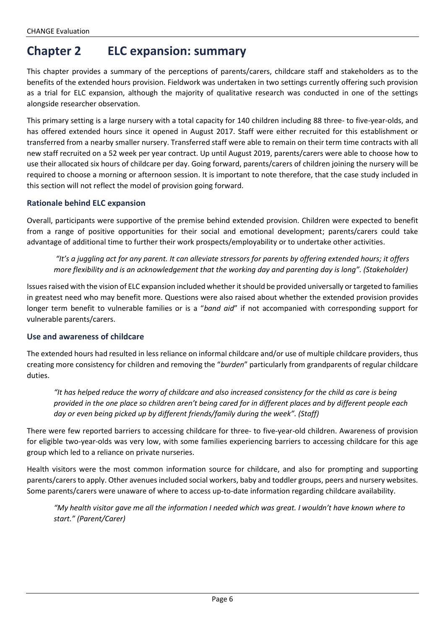### **Chapter 2 ELC expansion: summary**

This chapter provides a summary of the perceptions of parents/carers, childcare staff and stakeholders as to the benefits of the extended hours provision. Fieldwork was undertaken in two settings currently offering such provision as a trial for ELC expansion, although the majority of qualitative research was conducted in one of the settings alongside researcher observation.

This primary setting is a large nursery with a total capacity for 140 children including 88 three- to five-year-olds, and has offered extended hours since it opened in August 2017. Staff were either recruited for this establishment or transferred from a nearby smaller nursery. Transferred staff were able to remain on their term time contracts with all new staff recruited on a 52 week per year contract. Up until August 2019, parents/carers were able to choose how to use their allocated six hours of childcare per day. Going forward, parents/carers of children joining the nursery will be required to choose a morning or afternoon session. It is important to note therefore, that the case study included in this section will not reflect the model of provision going forward.

#### **Rationale behind ELC expansion**

Overall, participants were supportive of the premise behind extended provision. Children were expected to benefit from a range of positive opportunities for their social and emotional development; parents/carers could take advantage of additional time to further their work prospects/employability or to undertake other activities.

*"It's a juggling act for any parent. It can alleviate stressors for parents by offering extended hours; it offers more flexibility and is an acknowledgement that the working day and parenting day is long". (Stakeholder)*

Issues raised with the vision of ELC expansion included whether it should be provided universally or targeted to families in greatest need who may benefit more. Questions were also raised about whether the extended provision provides longer term benefit to vulnerable families or is a "*band aid*" if not accompanied with corresponding support for vulnerable parents/carers.

#### **Use and awareness of childcare**

The extended hours had resulted in less reliance on informal childcare and/or use of multiple childcare providers, thus creating more consistency for children and removing the "*burden*" particularly from grandparents of regular childcare duties.

*"It has helped reduce the worry of childcare and also increased consistency for the child as care is being provided in the one place so children aren't being cared for in different places and by different people each day or even being picked up by different friends/family during the week". (Staff)*

There were few reported barriers to accessing childcare for three- to five-year-old children. Awareness of provision for eligible two-year-olds was very low, with some families experiencing barriers to accessing childcare for this age group which led to a reliance on private nurseries.

Health visitors were the most common information source for childcare, and also for prompting and supporting parents/carers to apply. Other avenues included social workers, baby and toddler groups, peers and nursery websites. Some parents/carers were unaware of where to access up-to-date information regarding childcare availability.

*"My health visitor gave me all the information I needed which was great. I wouldn't have known where to start." (Parent/Carer)*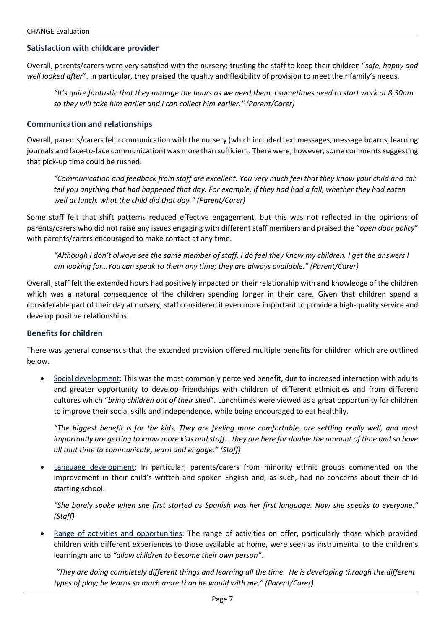#### **Satisfaction with childcare provider**

Overall, parents/carers were very satisfied with the nursery; trusting the staff to keep their children "*safe, happy and well looked after*". In particular, they praised the quality and flexibility of provision to meet their family's needs.

*"It's quite fantastic that they manage the hours as we need them. I sometimes need to start work at 8.30am so they will take him earlier and I can collect him earlier." (Parent/Carer)*

#### **Communication and relationships**

Overall, parents/carers felt communication with the nursery (which included text messages, message boards, learning journals and face-to-face communication) was more than sufficient. There were, however, some comments suggesting that pick-up time could be rushed.

*"Communication and feedback from staff are excellent. You very much feel that they know your child and can tell you anything that had happened that day. For example, if they had had a fall, whether they had eaten well at lunch, what the child did that day." (Parent/Carer)*

Some staff felt that shift patterns reduced effective engagement, but this was not reflected in the opinions of parents/carers who did not raise any issues engaging with different staff members and praised the "*open door policy*" with parents/carers encouraged to make contact at any time.

*"Although I don't always see the same member of staff, I do feel they know my children. I get the answers I am looking for…You can speak to them any time; they are always available." (Parent/Carer)*

Overall, staff felt the extended hours had positively impacted on their relationship with and knowledge of the children which was a natural consequence of the children spending longer in their care. Given that children spend a considerable part of their day at nursery, staff considered it even more important to provide a high-quality service and develop positive relationships.

#### **Benefits for children**

There was general consensus that the extended provision offered multiple benefits for children which are outlined below.

• Social development: This was the most commonly perceived benefit, due to increased interaction with adults and greater opportunity to develop friendships with children of different ethnicities and from different cultures which "*bring children out of their shell*". Lunchtimes were viewed as a great opportunity for children to improve their social skills and independence, while being encouraged to eat healthily.

*"The biggest benefit is for the kids, They are feeling more comfortable, are settling really well, and most importantly are getting to know more kids and staff… they are here for double the amount of time and so have all that time to communicate, learn and engage." (Staff)*

• Language development: In particular, parents/carers from minority ethnic groups commented on the improvement in their child's written and spoken English and, as such, had no concerns about their child starting school.

*"She barely spoke when she first started as Spanish was her first language. Now she speaks to everyone." (Staff)*

• Range of activities and opportunities: The range of activities on offer, particularly those which provided children with different experiences to those available at home, were seen as instrumental to the children's learningm and to *"allow children to become their own person".*

*"They are doing completely different things and learning all the time. He is developing through the different types of play; he learns so much more than he would with me." (Parent/Carer)*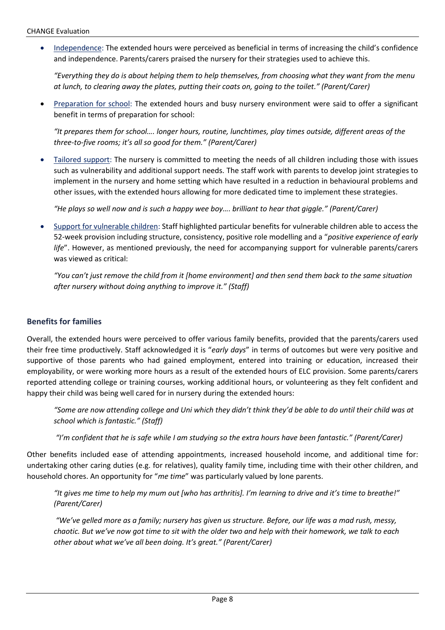• Independence: The extended hours were perceived as beneficial in terms of increasing the child's confidence and independence. Parents/carers praised the nursery for their strategies used to achieve this.

*"Everything they do is about helping them to help themselves, from choosing what they want from the menu at lunch, to clearing away the plates, putting their coats on, going to the toilet." (Parent/Carer)*

Preparation for school: The extended hours and busy nursery environment were said to offer a significant benefit in terms of preparation for school:

*"It prepares them for school…. longer hours, routine, lunchtimes, play times outside, different areas of the three-to-five rooms; it's all so good for them." (Parent/Carer)*

• Tailored support: The nursery is committed to meeting the needs of all children including those with issues such as vulnerability and additional support needs. The staff work with parents to develop joint strategies to implement in the nursery and home setting which have resulted in a reduction in behavioural problems and other issues, with the extended hours allowing for more dedicated time to implement these strategies.

*"He plays so well now and is such a happy wee boy…. brilliant to hear that giggle." (Parent/Carer)*

• Support for vulnerable children: Staff highlighted particular benefits for vulnerable children able to access the 52-week provision including structure, consistency, positive role modelling and a "*positive experience of early life*". However, as mentioned previously, the need for accompanying support for vulnerable parents/carers was viewed as critical:

*"You can't just remove the child from it [home environment] and then send them back to the same situation after nursery without doing anything to improve it." (Staff)*

#### **Benefits for families**

Overall, the extended hours were perceived to offer various family benefits, provided that the parents/carers used their free time productively. Staff acknowledged it is "*early days*" in terms of outcomes but were very positive and supportive of those parents who had gained employment, entered into training or education, increased their employability, or were working more hours as a result of the extended hours of ELC provision. Some parents/carers reported attending college or training courses, working additional hours, or volunteering as they felt confident and happy their child was being well cared for in nursery during the extended hours:

*"Some are now attending college and Uni which they didn't think they'd be able to do until their child was at school which is fantastic." (Staff)*

*"I'm confident that he is safe while I am studying so the extra hours have been fantastic." (Parent/Carer)*

Other benefits included ease of attending appointments, increased household income, and additional time for: undertaking other caring duties (e.g. for relatives), quality family time, including time with their other children, and household chores. An opportunity for "*me time*" was particularly valued by lone parents.

*"It gives me time to help my mum out [who has arthritis]. I'm learning to drive and it's time to breathe!" (Parent/Carer)*

*"We've gelled more as a family; nursery has given us structure. Before, our life was a mad rush, messy, chaotic. But we've now got time to sit with the older two and help with their homework, we talk to each other about what we've all been doing. It's great." (Parent/Carer)*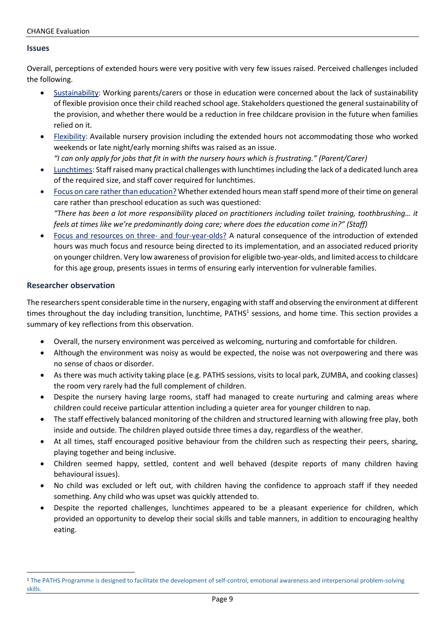#### **Issues**

Overall, perceptions of extended hours were very positive with very few issues raised. Perceived challenges included the following.

- Sustainability: Working parents/carers or those in education were concerned about the lack of sustainability of flexible provision once their child reached school age. Stakeholders questioned the general sustainability of the provision, and whether there would be a reduction in free childcare provision in the future when families relied on it.
- Flexibility: Available nursery provision including the extended hours not accommodating those who worked weekends or late night/early morning shifts was raised as an issue. *"I can only apply for jobs that fit in with the nursery hours which is frustrating." (Parent/Carer)*
- Lunchtimes: Staff raised many practical challenges with lunchtimesincluding the lack of a dedicated lunch area of the required size, and staff cover required for lunchtimes.
- Focus on care rather than education? Whether extended hours mean staff spend more of their time on general care rather than preschool education as such was questioned: *"There has been a lot more responsibility placed on practitioners including toilet training, toothbrushing… it feels at times like we're predominantly doing care; where does the education come in?" (Staff)*
- Focus and resources on three- and four-year-olds? A natural consequence of the introduction of extended hours was much focus and resource being directed to its implementation, and an associated reduced priority on younger children. Very low awareness of provision for eligible two-year-olds, and limited accessto childcare for this age group, presents issues in terms of ensuring early intervention for vulnerable families.

#### **Researcher observation**

The researchers spent considerable time in the nursery, engaging with staff and observing the environment at different times throughout the day including transition, lunchtime, PATHS<sup>1</sup> sessions, and home time. This section provides a summary of key reflections from this observation.

- Overall, the nursery environment was perceived as welcoming, nurturing and comfortable for children.
- Although the environment was noisy as would be expected, the noise was not overpowering and there was no sense of chaos or disorder.
- As there was much activity taking place (e.g. PATHS sessions, visits to local park, ZUMBA, and cooking classes) the room very rarely had the full complement of children.
- Despite the nursery having large rooms, staff had managed to create nurturing and calming areas where children could receive particular attention including a quieter area for younger children to nap.
- The staff effectively balanced monitoring of the children and structured learning with allowing free play, both inside and outside. The children played outside three times a day, regardless of the weather.
- At all times, staff encouraged positive behaviour from the children such as respecting their peers, sharing, playing together and being inclusive.
- Children seemed happy, settled, content and well behaved (despite reports of many children having behavioural issues).
- No child was excluded or left out, with children having the confidence to approach staff if they needed something. Any child who was upset was quickly attended to.
- Despite the reported challenges, lunchtimes appeared to be a pleasant experience for children, which provided an opportunity to develop their social skills and table manners, in addition to encouraging healthy eating.

<sup>&</sup>lt;sup>1</sup> The PATHS Programme is designed to facilitate the development of self-control, emotional awareness and interpersonal problem-solving skills.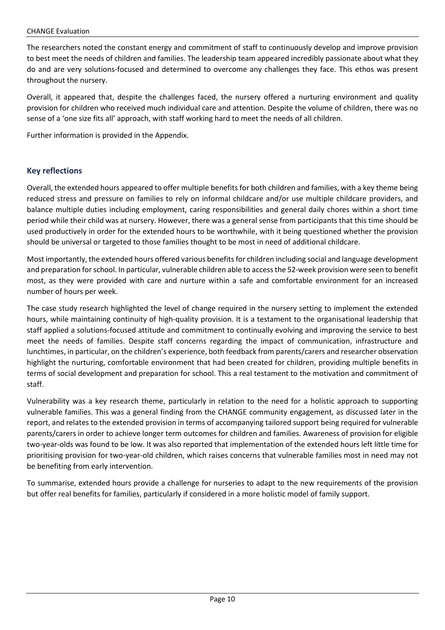#### CHANGE Evaluation

The researchers noted the constant energy and commitment of staff to continuously develop and improve provision to best meet the needs of children and families. The leadership team appeared incredibly passionate about what they do and are very solutions-focused and determined to overcome any challenges they face. This ethos was present throughout the nursery.

Overall, it appeared that, despite the challenges faced, the nursery offered a nurturing environment and quality provision for children who received much individual care and attention. Despite the volume of children, there was no sense of a 'one size fits all' approach, with staff working hard to meet the needs of all children.

Further information is provided in the Appendix.

#### **Key reflections**

Overall, the extended hours appeared to offer multiple benefits for both children and families, with a key theme being reduced stress and pressure on families to rely on informal childcare and/or use multiple childcare providers, and balance multiple duties including employment, caring responsibilities and general daily chores within a short time period while their child was at nursery. However, there was a general sense from participants that this time should be used productively in order for the extended hours to be worthwhile, with it being questioned whether the provision should be universal or targeted to those families thought to be most in need of additional childcare.

Most importantly, the extended hours offered various benefits for children including social and language development and preparation for school. In particular, vulnerable children able to access the 52-week provision were seen to benefit most, as they were provided with care and nurture within a safe and comfortable environment for an increased number of hours per week.

The case study research highlighted the level of change required in the nursery setting to implement the extended hours, while maintaining continuity of high-quality provision. It is a testament to the organisational leadership that staff applied a solutions-focused attitude and commitment to continually evolving and improving the service to best meet the needs of families. Despite staff concerns regarding the impact of communication, infrastructure and lunchtimes, in particular, on the children's experience, both feedback from parents/carers and researcher observation highlight the nurturing, comfortable environment that had been created for children, providing multiple benefits in terms of social development and preparation for school. This a real testament to the motivation and commitment of staff.

Vulnerability was a key research theme, particularly in relation to the need for a holistic approach to supporting vulnerable families. This was a general finding from the CHANGE community engagement, as discussed later in the report, and relates to the extended provision in terms of accompanying tailored support being required for vulnerable parents/carers in order to achieve longer term outcomes for children and families. Awareness of provision for eligible two-year-olds was found to be low. It was also reported that implementation of the extended hours left little time for prioritising provision for two-year-old children, which raises concerns that vulnerable families most in need may not be benefiting from early intervention.

To summarise, extended hours provide a challenge for nurseries to adapt to the new requirements of the provision but offer real benefits for families, particularly if considered in a more holistic model of family support.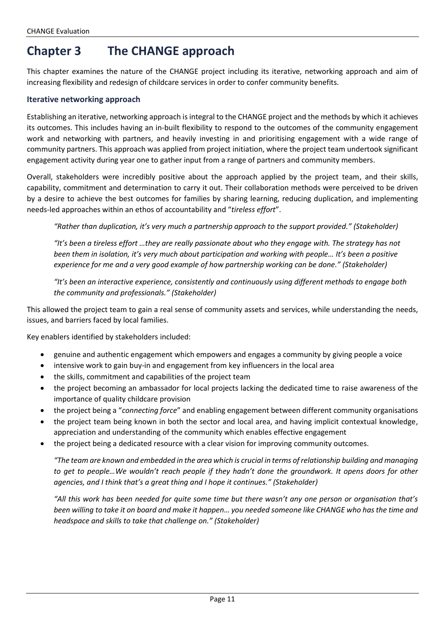## **Chapter 3 The CHANGE approach**

This chapter examines the nature of the CHANGE project including its iterative, networking approach and aim of increasing flexibility and redesign of childcare services in order to confer community benefits.

#### **Iterative networking approach**

Establishing an iterative, networking approach is integral to the CHANGE project and the methods by which it achieves its outcomes. This includes having an in-built flexibility to respond to the outcomes of the community engagement work and networking with partners, and heavily investing in and prioritising engagement with a wide range of community partners. This approach was applied from project initiation, where the project team undertook significant engagement activity during year one to gather input from a range of partners and community members.

Overall, stakeholders were incredibly positive about the approach applied by the project team, and their skills, capability, commitment and determination to carry it out. Their collaboration methods were perceived to be driven by a desire to achieve the best outcomes for families by sharing learning, reducing duplication, and implementing needs-led approaches within an ethos of accountability and "*tireless effort*".

*"Rather than duplication, it's very much a partnership approach to the support provided." (Stakeholder)*

*"It's been a tireless effort …they are really passionate about who they engage with. The strategy has not been them in isolation, it's very much about participation and working with people… It's been a positive experience for me and a very good example of how partnership working can be done." (Stakeholder)*

*"It's been an interactive experience, consistently and continuously using different methods to engage both the community and professionals." (Stakeholder)*

This allowed the project team to gain a real sense of community assets and services, while understanding the needs, issues, and barriers faced by local families.

Key enablers identified by stakeholders included:

- genuine and authentic engagement which empowers and engages a community by giving people a voice
- intensive work to gain buy-in and engagement from key influencers in the local area
- the skills, commitment and capabilities of the project team
- the project becoming an ambassador for local projects lacking the dedicated time to raise awareness of the importance of quality childcare provision
- the project being a "*connecting force*" and enabling engagement between different community organisations
- the project team being known in both the sector and local area, and having implicit contextual knowledge, appreciation and understanding of the community which enables effective engagement
- the project being a dedicated resource with a clear vision for improving community outcomes.

*"The team are known and embedded in the area which is crucial in terms of relationship building and managing to get to people…We wouldn't reach people if they hadn't done the groundwork. It opens doors for other agencies, and I think that's a great thing and I hope it continues." (Stakeholder)*

*"All this work has been needed for quite some time but there wasn't any one person or organisation that's been willing to take it on board and make it happen… you needed someone like CHANGE who has the time and headspace and skills to take that challenge on." (Stakeholder)*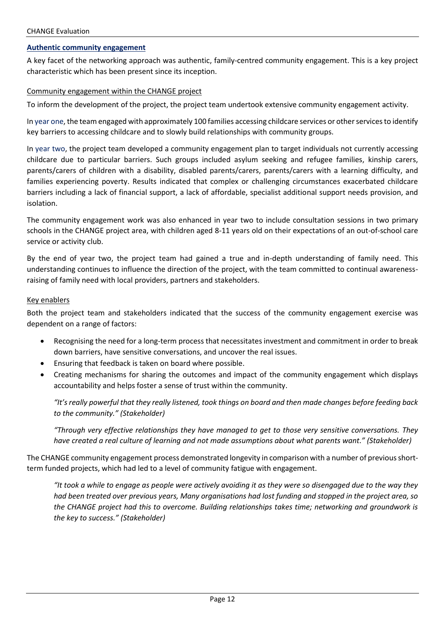#### **Authentic community engagement**

A key facet of the networking approach was authentic, family-centred community engagement. This is a key project characteristic which has been present since its inception.

#### Community engagement within the CHANGE project

To inform the development of the project, the project team undertook extensive community engagement activity.

In year one, the team engaged with approximately 100 families accessing childcare services or other services to identify key barriers to accessing childcare and to slowly build relationships with community groups.

In year two, the project team developed a community engagement plan to target individuals not currently accessing childcare due to particular barriers. Such groups included asylum seeking and refugee families, kinship carers, parents/carers of children with a disability, disabled parents/carers, parents/carers with a learning difficulty, and families experiencing poverty. Results indicated that complex or challenging circumstances exacerbated childcare barriers including a lack of financial support, a lack of affordable, specialist additional support needs provision, and isolation.

The community engagement work was also enhanced in year two to include consultation sessions in two primary schools in the CHANGE project area, with children aged 8-11 years old on their expectations of an out-of-school care service or activity club.

By the end of year two, the project team had gained a true and in-depth understanding of family need. This understanding continues to influence the direction of the project, with the team committed to continual awarenessraising of family need with local providers, partners and stakeholders.

#### Key enablers

Both the project team and stakeholders indicated that the success of the community engagement exercise was dependent on a range of factors:

- Recognising the need for a long-term process that necessitates investment and commitment in order to break down barriers, have sensitive conversations, and uncover the real issues.
- Ensuring that feedback is taken on board where possible.
- Creating mechanisms for sharing the outcomes and impact of the community engagement which displays accountability and helps foster a sense of trust within the community.

*"It's really powerful that they really listened, took things on board and then made changes before feeding back to the community." (Stakeholder)*

*"Through very effective relationships they have managed to get to those very sensitive conversations. They have created a real culture of learning and not made assumptions about what parents want." (Stakeholder)*

The CHANGE community engagement process demonstrated longevity in comparison with a number of previous shortterm funded projects, which had led to a level of community fatigue with engagement.

*"It took a while to engage as people were actively avoiding it as they were so disengaged due to the way they had been treated over previous years, Many organisations had lost funding and stopped in the project area, so the CHANGE project had this to overcome. Building relationships takes time; networking and groundwork is the key to success." (Stakeholder)*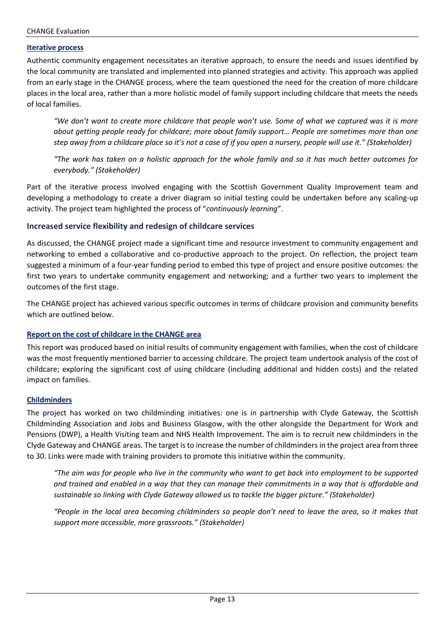#### **Iterative process**

Authentic community engagement necessitates an iterative approach, to ensure the needs and issues identified by the local community are translated and implemented into planned strategies and activity. This approach was applied from an early stage in the CHANGE process, where the team questioned the need for the creation of more childcare places in the local area, rather than a more holistic model of family support including childcare that meets the needs of local families.

*"We don't want to create more childcare that people won't use. Some of what we captured was it is more about getting people ready for childcare; more about family support… People are sometimes more than one step away from a childcare place so it's not a case of if you open a nursery, people will use it." (Stakeholder)*

*"The work has taken on a holistic approach for the whole family and so it has much better outcomes for everybody." (Stakeholder)*

Part of the iterative process involved engaging with the Scottish Government Quality Improvement team and developing a methodology to create a driver diagram so initial testing could be undertaken before any scaling-up activity. The project team highlighted the process of "*continuously learning*".

#### **Increased service flexibility and redesign of childcare services**

As discussed, the CHANGE project made a significant time and resource investment to community engagement and networking to embed a collaborative and co-productive approach to the project. On reflection, the project team suggested a minimum of a four-year funding period to embed this type of project and ensure positive outcomes: the first two years to undertake community engagement and networking; and a further two years to implement the outcomes of the first stage.

The CHANGE project has achieved various specific outcomes in terms of childcare provision and community benefits which are outlined below.

#### **Report on the cost of childcare in the CHANGE area**

This report was produced based on initial results of community engagement with families, when the cost of childcare was the most frequently mentioned barrier to accessing childcare. The project team undertook analysis of the cost of childcare; exploring the significant cost of using childcare (including additional and hidden costs) and the related impact on families.

#### **Childminders**

The project has worked on two childminding initiatives: one is in partnership with Clyde Gateway, the Scottish Childminding Association and Jobs and Business Glasgow, with the other alongside the Department for Work and Pensions (DWP), a Health Visiting team and NHS Health Improvement. The aim is to recruit new childminders in the Clyde Gateway and CHANGE areas. The target is to increase the number of childminders in the project area from three to 30. Links were made with training providers to promote this initiative within the community.

*"The aim was for people who live in the community who want to get back into employment to be supported and trained and enabled in a way that they can manage their commitments in a way that is affordable and sustainable so linking with Clyde Gateway allowed us to tackle the bigger picture." (Stakeholder)*

*"People in the local area becoming childminders so people don't need to leave the area, so it makes that support more accessible, more grassroots." (Stakeholder)*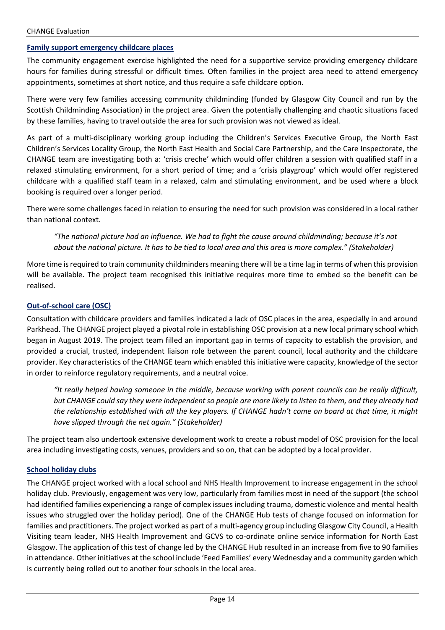#### **Family support emergency childcare places**

The community engagement exercise highlighted the need for a supportive service providing emergency childcare hours for families during stressful or difficult times. Often families in the project area need to attend emergency appointments, sometimes at short notice, and thus require a safe childcare option.

There were very few families accessing community childminding (funded by Glasgow City Council and run by the Scottish Childminding Association) in the project area. Given the potentially challenging and chaotic situations faced by these families, having to travel outside the area for such provision was not viewed as ideal.

As part of a multi-disciplinary working group including the Children's Services Executive Group, the North East Children's Services Locality Group, the North East Health and Social Care Partnership, and the Care Inspectorate, the CHANGE team are investigating both a: 'crisis creche' which would offer children a session with qualified staff in a relaxed stimulating environment, for a short period of time; and a 'crisis playgroup' which would offer registered childcare with a qualified staff team in a relaxed, calm and stimulating environment, and be used where a block booking is required over a longer period.

There were some challenges faced in relation to ensuring the need for such provision was considered in a local rather than national context.

*"The national picture had an influence. We had to fight the cause around childminding; because it's not about the national picture. It has to be tied to local area and this area is more complex." (Stakeholder)*

More time is required to train community childminders meaning there will be a time lag in terms of when this provision will be available. The project team recognised this initiative requires more time to embed so the benefit can be realised.

#### **Out-of-school care (OSC)**

Consultation with childcare providers and families indicated a lack of OSC places in the area, especially in and around Parkhead. The CHANGE project played a pivotal role in establishing OSC provision at a new local primary school which began in August 2019. The project team filled an important gap in terms of capacity to establish the provision, and provided a crucial, trusted, independent liaison role between the parent council, local authority and the childcare provider. Key characteristics of the CHANGE team which enabled this initiative were capacity, knowledge of the sector in order to reinforce regulatory requirements, and a neutral voice.

*"It really helped having someone in the middle, because working with parent councils can be really difficult, but CHANGE could say they were independent so people are more likely to listen to them, and they already had the relationship established with all the key players. If CHANGE hadn't come on board at that time, it might have slipped through the net again." (Stakeholder)*

The project team also undertook extensive development work to create a robust model of OSC provision for the local area including investigating costs, venues, providers and so on, that can be adopted by a local provider.

#### **School holiday clubs**

The CHANGE project worked with a local school and NHS Health Improvement to increase engagement in the school holiday club. Previously, engagement was very low, particularly from families most in need of the support (the school had identified families experiencing a range of complex issues including trauma, domestic violence and mental health issues who struggled over the holiday period). One of the CHANGE Hub tests of change focused on information for families and practitioners. The project worked as part of a multi-agency group including Glasgow City Council, a Health Visiting team leader, NHS Health Improvement and GCVS to co-ordinate online service information for North East Glasgow. The application of this test of change led by the CHANGE Hub resulted in an increase from five to 90 families in attendance. Other initiatives at the school include 'Feed Families' every Wednesday and a community garden which is currently being rolled out to another four schools in the local area.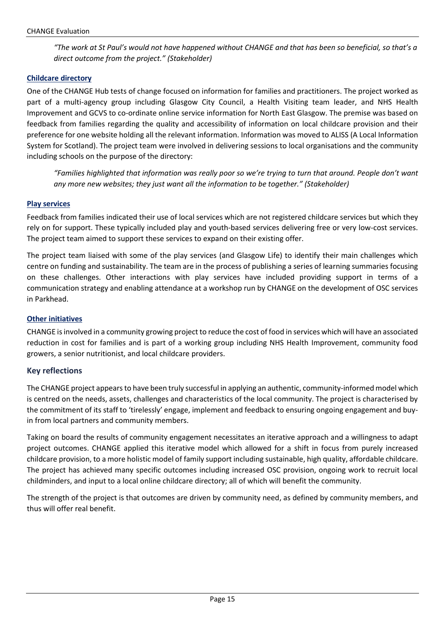*"The work at St Paul's would not have happened without CHANGE and that has been so beneficial, so that's a direct outcome from the project." (Stakeholder)*

#### **Childcare directory**

One of the CHANGE Hub tests of change focused on information for families and practitioners. The project worked as part of a multi-agency group including Glasgow City Council, a Health Visiting team leader, and NHS Health Improvement and GCVS to co-ordinate online service information for North East Glasgow. The premise was based on feedback from families regarding the quality and accessibility of information on local childcare provision and their preference for one website holding all the relevant information. Information was moved to ALISS (A Local Information System for Scotland). The project team were involved in delivering sessions to local organisations and the community including schools on the purpose of the directory:

*"Families highlighted that information was really poor so we're trying to turn that around. People don't want any more new websites; they just want all the information to be together." (Stakeholder)*

#### **Play services**

Feedback from families indicated their use of local services which are not registered childcare services but which they rely on for support. These typically included play and youth-based services delivering free or very low-cost services. The project team aimed to support these services to expand on their existing offer.

The project team liaised with some of the play services (and Glasgow Life) to identify their main challenges which centre on funding and sustainability. The team are in the process of publishing a series of learning summaries focusing on these challenges. Other interactions with play services have included providing support in terms of a communication strategy and enabling attendance at a workshop run by CHANGE on the development of OSC services in Parkhead.

#### **Other initiatives**

CHANGE is involved in a community growing project to reduce the cost of food in services which will have an associated reduction in cost for families and is part of a working group including NHS Health Improvement, community food growers, a senior nutritionist, and local childcare providers.

#### **Key reflections**

The CHANGE project appears to have been truly successful in applying an authentic, community-informed model which is centred on the needs, assets, challenges and characteristics of the local community. The project is characterised by the commitment of its staff to 'tirelessly' engage, implement and feedback to ensuring ongoing engagement and buyin from local partners and community members.

Taking on board the results of community engagement necessitates an iterative approach and a willingness to adapt project outcomes. CHANGE applied this iterative model which allowed for a shift in focus from purely increased childcare provision, to a more holistic model of family support including sustainable, high quality, affordable childcare. The project has achieved many specific outcomes including increased OSC provision, ongoing work to recruit local childminders, and input to a local online childcare directory; all of which will benefit the community.

The strength of the project is that outcomes are driven by community need, as defined by community members, and thus will offer real benefit.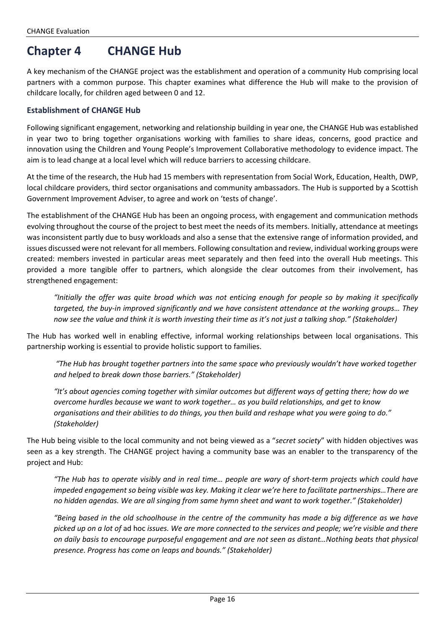## **Chapter 4 CHANGE Hub**

A key mechanism of the CHANGE project was the establishment and operation of a community Hub comprising local partners with a common purpose. This chapter examines what difference the Hub will make to the provision of childcare locally, for children aged between 0 and 12.

#### **Establishment of CHANGE Hub**

Following significant engagement, networking and relationship building in year one, the CHANGE Hub was established in year two to bring together organisations working with families to share ideas, concerns, good practice and innovation using the Children and Young People's Improvement Collaborative methodology to evidence impact. The aim is to lead change at a local level which will reduce barriers to accessing childcare.

At the time of the research, the Hub had 15 members with representation from Social Work, Education, Health, DWP, local childcare providers, third sector organisations and community ambassadors. The Hub is supported by a Scottish Government Improvement Adviser, to agree and work on 'tests of change'.

The establishment of the CHANGE Hub has been an ongoing process, with engagement and communication methods evolving throughout the course of the project to best meet the needs of its members. Initially, attendance at meetings was inconsistent partly due to busy workloads and also a sense that the extensive range of information provided, and issues discussed were not relevant for all members. Following consultation and review, individual working groups were created: members invested in particular areas meet separately and then feed into the overall Hub meetings. This provided a more tangible offer to partners, which alongside the clear outcomes from their involvement, has strengthened engagement:

"Initially the offer was quite broad which was not enticing enough for people so by making it specifically *targeted, the buy-in improved significantly and we have consistent attendance at the working groups… They now see the value and think it is worth investing their time as it's not just a talking shop." (Stakeholder)*

The Hub has worked well in enabling effective, informal working relationships between local organisations. This partnership working is essential to provide holistic support to families.

*"The Hub has brought together partners into the same space who previously wouldn't have worked together and helped to break down those barriers." (Stakeholder)*

*"It's about agencies coming together with similar outcomes but different ways of getting there; how do we overcome hurdles because we want to work together… as you build relationships, and get to know organisations and their abilities to do things, you then build and reshape what you were going to do." (Stakeholder)*

The Hub being visible to the local community and not being viewed as a "*secret society*" with hidden objectives was seen as a key strength. The CHANGE project having a community base was an enabler to the transparency of the project and Hub:

*"The Hub has to operate visibly and in real time… people are wary of short-term projects which could have impeded engagement so being visible was key. Making it clear we're here to facilitate partnerships…There are no hidden agendas. We are all singing from same hymn sheet and want to work together." (Stakeholder)*

*"Being based in the old schoolhouse in the centre of the community has made a big difference as we have picked up on a lot of* ad hoc *issues. We are more connected to the services and people; we're visible and there on daily basis to encourage purposeful engagement and are not seen as distant…Nothing beats that physical presence. Progress has come on leaps and bounds." (Stakeholder)*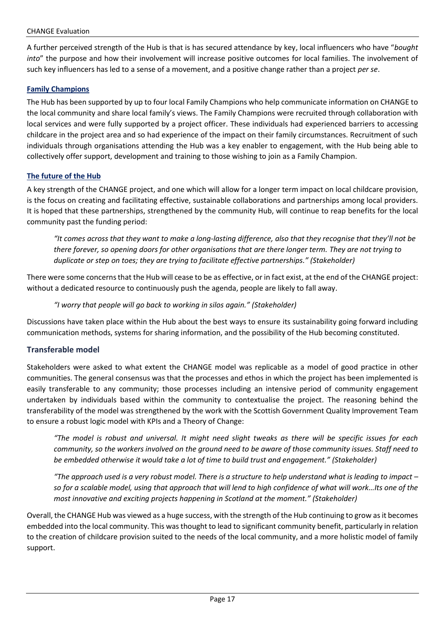#### CHANGE Evaluation

A further perceived strength of the Hub is that is has secured attendance by key, local influencers who have "*bought into*" the purpose and how their involvement will increase positive outcomes for local families. The involvement of such key influencers has led to a sense of a movement, and a positive change rather than a project *per se*.

#### **Family Champions**

The Hub has been supported by up to four local Family Champions who help communicate information on CHANGE to the local community and share local family's views. The Family Champions were recruited through collaboration with local services and were fully supported by a project officer. These individuals had experienced barriers to accessing childcare in the project area and so had experience of the impact on their family circumstances. Recruitment of such individuals through organisations attending the Hub was a key enabler to engagement, with the Hub being able to collectively offer support, development and training to those wishing to join as a Family Champion.

#### **The future of the Hub**

A key strength of the CHANGE project, and one which will allow for a longer term impact on local childcare provision, is the focus on creating and facilitating effective, sustainable collaborations and partnerships among local providers. It is hoped that these partnerships, strengthened by the community Hub, will continue to reap benefits for the local community past the funding period:

*"It comes across that they want to make a long-lasting difference, also that they recognise that they'll not be there forever, so opening doors for other organisations that are there longer term. They are not trying to duplicate or step on toes; they are trying to facilitate effective partnerships." (Stakeholder)*

There were some concerns that the Hub will cease to be as effective, or in fact exist, at the end of the CHANGE project: without a dedicated resource to continuously push the agenda, people are likely to fall away.

*"I worry that people will go back to working in silos again." (Stakeholder)*

Discussions have taken place within the Hub about the best ways to ensure its sustainability going forward including communication methods, systems for sharing information, and the possibility of the Hub becoming constituted.

#### **Transferable model**

Stakeholders were asked to what extent the CHANGE model was replicable as a model of good practice in other communities. The general consensus was that the processes and ethos in which the project has been implemented is easily transferable to any community; those processes including an intensive period of community engagement undertaken by individuals based within the community to contextualise the project. The reasoning behind the transferability of the model was strengthened by the work with the Scottish Government Quality Improvement Team to ensure a robust logic model with KPIs and a Theory of Change:

*"The model is robust and universal. It might need slight tweaks as there will be specific issues for each community, so the workers involved on the ground need to be aware of those community issues. Staff need to be embedded otherwise it would take a lot of time to build trust and engagement." (Stakeholder)*

*"The approach used is a very robust model. There is a structure to help understand what is leading to impact – so for a scalable model, using that approach that will lend to high confidence of what will work…Its one of the most innovative and exciting projects happening in Scotland at the moment." (Stakeholder)*

Overall, the CHANGE Hub was viewed as a huge success, with the strength of the Hub continuing to grow as it becomes embedded into the local community. This was thought to lead to significant community benefit, particularly in relation to the creation of childcare provision suited to the needs of the local community, and a more holistic model of family support.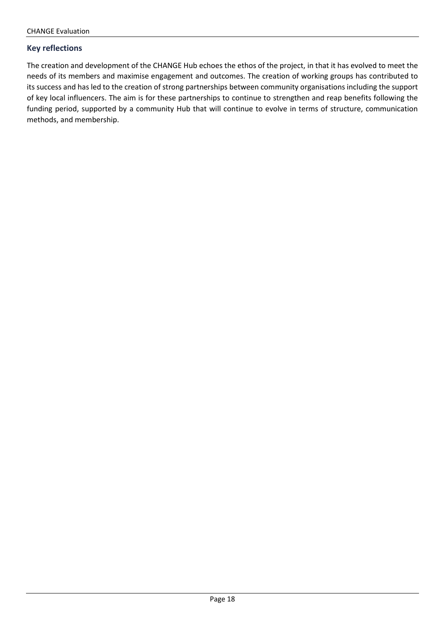#### **Key reflections**

The creation and development of the CHANGE Hub echoes the ethos of the project, in that it has evolved to meet the needs of its members and maximise engagement and outcomes. The creation of working groups has contributed to its success and has led to the creation of strong partnerships between community organisations including the support of key local influencers. The aim is for these partnerships to continue to strengthen and reap benefits following the funding period, supported by a community Hub that will continue to evolve in terms of structure, communication methods, and membership.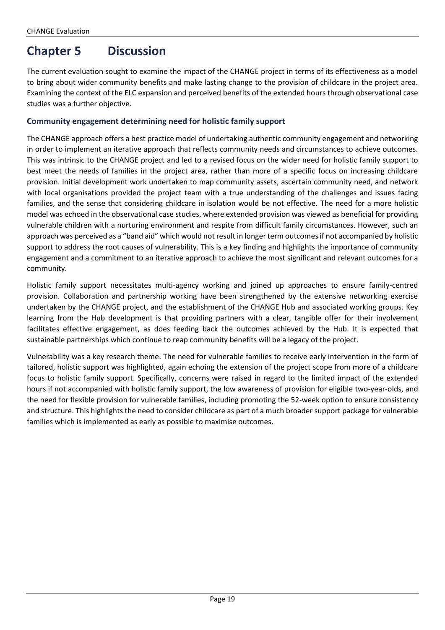## **Chapter 5 Discussion**

The current evaluation sought to examine the impact of the CHANGE project in terms of its effectiveness as a model to bring about wider community benefits and make lasting change to the provision of childcare in the project area. Examining the context of the ELC expansion and perceived benefits of the extended hours through observational case studies was a further objective.

#### **Community engagement determining need for holistic family support**

The CHANGE approach offers a best practice model of undertaking authentic community engagement and networking in order to implement an iterative approach that reflects community needs and circumstances to achieve outcomes. This was intrinsic to the CHANGE project and led to a revised focus on the wider need for holistic family support to best meet the needs of families in the project area, rather than more of a specific focus on increasing childcare provision. Initial development work undertaken to map community assets, ascertain community need, and network with local organisations provided the project team with a true understanding of the challenges and issues facing families, and the sense that considering childcare in isolation would be not effective. The need for a more holistic model was echoed in the observational case studies, where extended provision was viewed as beneficial for providing vulnerable children with a nurturing environment and respite from difficult family circumstances. However, such an approach was perceived as a "band aid" which would not result in longer term outcomes if not accompanied by holistic support to address the root causes of vulnerability. This is a key finding and highlights the importance of community engagement and a commitment to an iterative approach to achieve the most significant and relevant outcomes for a community.

Holistic family support necessitates multi-agency working and joined up approaches to ensure family-centred provision. Collaboration and partnership working have been strengthened by the extensive networking exercise undertaken by the CHANGE project, and the establishment of the CHANGE Hub and associated working groups. Key learning from the Hub development is that providing partners with a clear, tangible offer for their involvement facilitates effective engagement, as does feeding back the outcomes achieved by the Hub. It is expected that sustainable partnerships which continue to reap community benefits will be a legacy of the project.

Vulnerability was a key research theme. The need for vulnerable families to receive early intervention in the form of tailored, holistic support was highlighted, again echoing the extension of the project scope from more of a childcare focus to holistic family support. Specifically, concerns were raised in regard to the limited impact of the extended hours if not accompanied with holistic family support, the low awareness of provision for eligible two-year-olds, and the need for flexible provision for vulnerable families, including promoting the 52-week option to ensure consistency and structure. This highlights the need to consider childcare as part of a much broader support package for vulnerable families which is implemented as early as possible to maximise outcomes.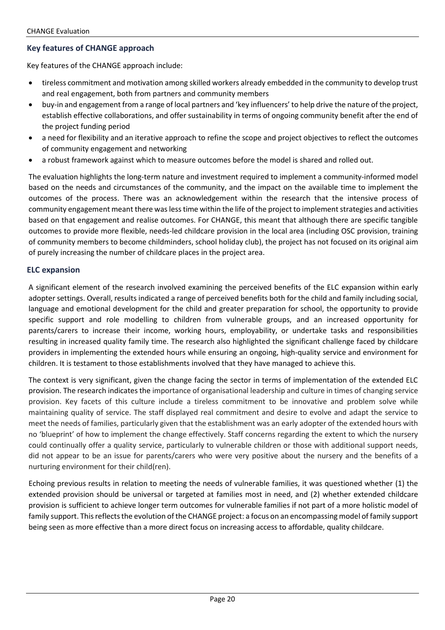#### **Key features of CHANGE approach**

Key features of the CHANGE approach include:

- tireless commitment and motivation among skilled workers already embedded in the community to develop trust and real engagement, both from partners and community members
- buy-in and engagement from a range of local partners and 'key influencers' to help drive the nature of the project, establish effective collaborations, and offer sustainability in terms of ongoing community benefit after the end of the project funding period
- a need for flexibility and an iterative approach to refine the scope and project objectives to reflect the outcomes of community engagement and networking
- a robust framework against which to measure outcomes before the model is shared and rolled out.

The evaluation highlights the long-term nature and investment required to implement a community-informed model based on the needs and circumstances of the community, and the impact on the available time to implement the outcomes of the process. There was an acknowledgement within the research that the intensive process of community engagement meant there wasless time within the life of the project to implement strategies and activities based on that engagement and realise outcomes. For CHANGE, this meant that although there are specific tangible outcomes to provide more flexible, needs-led childcare provision in the local area (including OSC provision, training of community members to become childminders, school holiday club), the project has not focused on its original aim of purely increasing the number of childcare places in the project area.

#### **ELC expansion**

A significant element of the research involved examining the perceived benefits of the ELC expansion within early adopter settings. Overall, results indicated a range of perceived benefits both for the child and family including social, language and emotional development for the child and greater preparation for school, the opportunity to provide specific support and role modelling to children from vulnerable groups, and an increased opportunity for parents/carers to increase their income, working hours, employability, or undertake tasks and responsibilities resulting in increased quality family time. The research also highlighted the significant challenge faced by childcare providers in implementing the extended hours while ensuring an ongoing, high-quality service and environment for children. It is testament to those establishments involved that they have managed to achieve this.

The context is very significant, given the change facing the sector in terms of implementation of the extended ELC provision. The research indicates the importance of organisational leadership and culture in times of changing service provision. Key facets of this culture include a tireless commitment to be innovative and problem solve while maintaining quality of service. The staff displayed real commitment and desire to evolve and adapt the service to meet the needs of families, particularly given that the establishment was an early adopter of the extended hours with no 'blueprint' of how to implement the change effectively. Staff concerns regarding the extent to which the nursery could continually offer a quality service, particularly to vulnerable children or those with additional support needs, did not appear to be an issue for parents/carers who were very positive about the nursery and the benefits of a nurturing environment for their child(ren).

Echoing previous results in relation to meeting the needs of vulnerable families, it was questioned whether (1) the extended provision should be universal or targeted at families most in need, and (2) whether extended childcare provision is sufficient to achieve longer term outcomes for vulnerable families if not part of a more holistic model of family support. This reflects the evolution of the CHANGE project: a focus on an encompassing model of family support being seen as more effective than a more direct focus on increasing access to affordable, quality childcare.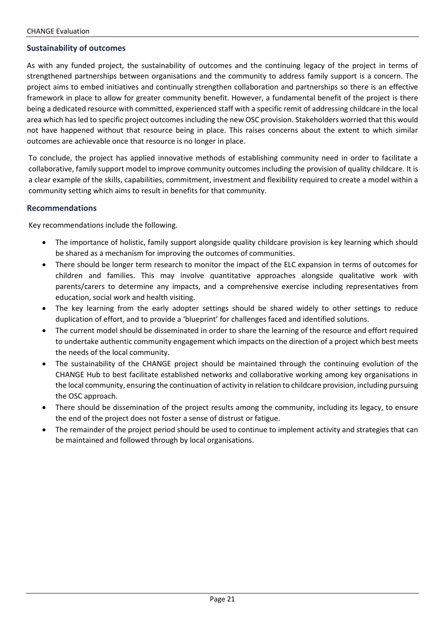#### **Sustainability of outcomes**

As with any funded project, the sustainability of outcomes and the continuing legacy of the project in terms of strengthened partnerships between organisations and the community to address family support is a concern. The project aims to embed initiatives and continually strengthen collaboration and partnerships so there is an effective framework in place to allow for greater community benefit. However, a fundamental benefit of the project is there being a dedicated resource with committed, experienced staff with a specific remit of addressing childcare in the local area which hasled to specific project outcomes including the new OSC provision. Stakeholders worried that this would not have happened without that resource being in place. This raises concerns about the extent to which similar outcomes are achievable once that resource is no longer in place.

To conclude, the project has applied innovative methods of establishing community need in order to facilitate a collaborative, family support model to improve community outcomes including the provision of quality childcare. It is a clear example of the skills, capabilities, commitment, investment and flexibility required to create a model within a community setting which aims to result in benefits for that community.

#### **Recommendations**

Key recommendations include the following.

- The importance of holistic, family support alongside quality childcare provision is key learning which should be shared as a mechanism for improving the outcomes of communities.
- There should be longer term research to monitor the impact of the ELC expansion in terms of outcomes for children and families. This may involve quantitative approaches alongside qualitative work with parents/carers to determine any impacts, and a comprehensive exercise including representatives from education, social work and health visiting.
- The key learning from the early adopter settings should be shared widely to other settings to reduce duplication of effort, and to provide a 'blueprint' for challenges faced and identified solutions.
- The current model should be disseminated in order to share the learning of the resource and effort required to undertake authentic community engagement which impacts on the direction of a project which best meets the needs of the local community.
- The sustainability of the CHANGE project should be maintained through the continuing evolution of the CHANGE Hub to best facilitate established networks and collaborative working among key organisations in the local community, ensuring the continuation of activity in relation to childcare provision, including pursuing the OSC approach.
- There should be dissemination of the project results among the community, including its legacy, to ensure the end of the project does not foster a sense of distrust or fatigue.
- The remainder of the project period should be used to continue to implement activity and strategies that can be maintained and followed through by local organisations.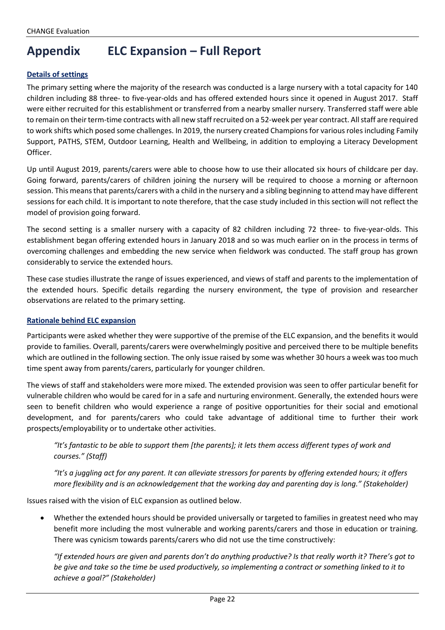## **Appendix ELC Expansion – Full Report**

#### **Details of settings**

The primary setting where the majority of the research was conducted is a large nursery with a total capacity for 140 children including 88 three- to five-year-olds and has offered extended hours since it opened in August 2017. Staff were either recruited for this establishment or transferred from a nearby smaller nursery. Transferred staff were able to remain on their term-time contracts with all new staff recruited on a 52-week per year contract. All staff are required to work shifts which posed some challenges. In 2019, the nursery created Champions for various roles including Family Support, PATHS, STEM, Outdoor Learning, Health and Wellbeing, in addition to employing a Literacy Development Officer.

Up until August 2019, parents/carers were able to choose how to use their allocated six hours of childcare per day. Going forward, parents/carers of children joining the nursery will be required to choose a morning or afternoon session. This means that parents/carers with a child in the nursery and a sibling beginning to attend may have different sessions for each child. It is important to note therefore, that the case study included in this section will not reflect the model of provision going forward.

The second setting is a smaller nursery with a capacity of 82 children including 72 three- to five-year-olds. This establishment began offering extended hours in January 2018 and so was much earlier on in the process in terms of overcoming challenges and embedding the new service when fieldwork was conducted. The staff group has grown considerably to service the extended hours.

These case studies illustrate the range of issues experienced, and views of staff and parents to the implementation of the extended hours. Specific details regarding the nursery environment, the type of provision and researcher observations are related to the primary setting.

#### **Rationale behind ELC expansion**

Participants were asked whether they were supportive of the premise of the ELC expansion, and the benefits it would provide to families. Overall, parents/carers were overwhelmingly positive and perceived there to be multiple benefits which are outlined in the following section. The only issue raised by some was whether 30 hours a week was too much time spent away from parents/carers, particularly for younger children.

The views of staff and stakeholders were more mixed. The extended provision was seen to offer particular benefit for vulnerable children who would be cared for in a safe and nurturing environment. Generally, the extended hours were seen to benefit children who would experience a range of positive opportunities for their social and emotional development, and for parents/carers who could take advantage of additional time to further their work prospects/employability or to undertake other activities.

*"It's fantastic to be able to support them [the parents]; it lets them access different types of work and courses." (Staff)*

*"It's a juggling act for any parent. It can alleviate stressors for parents by offering extended hours; it offers more flexibility and is an acknowledgement that the working day and parenting day is long." (Stakeholder)*

Issues raised with the vision of ELC expansion as outlined below.

• Whether the extended hours should be provided universally or targeted to families in greatest need who may benefit more including the most vulnerable and working parents/carers and those in education or training. There was cynicism towards parents/carers who did not use the time constructively:

*"If extended hours are given and parents don't do anything productive? Is that really worth it? There's got to be give and take so the time be used productively, so implementing a contract or something linked to it to achieve a goal?" (Stakeholder)*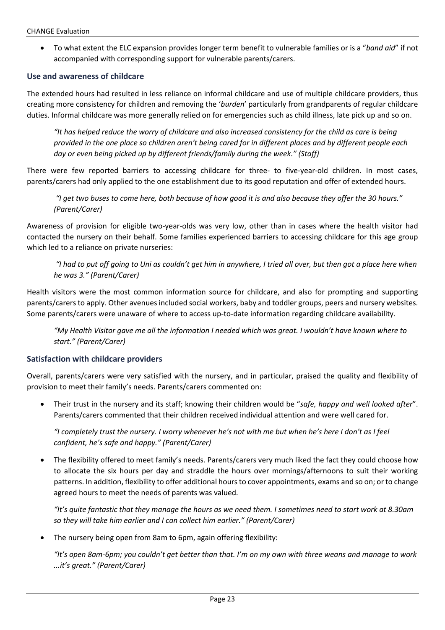• To what extent the ELC expansion provides longer term benefit to vulnerable families or is a "*band aid*" if not accompanied with corresponding support for vulnerable parents/carers.

#### **Use and awareness of childcare**

The extended hours had resulted in less reliance on informal childcare and use of multiple childcare providers, thus creating more consistency for children and removing the '*burden*' particularly from grandparents of regular childcare duties. Informal childcare was more generally relied on for emergencies such as child illness, late pick up and so on.

*"It has helped reduce the worry of childcare and also increased consistency for the child as care is being provided in the one place so children aren't being cared for in different places and by different people each day or even being picked up by different friends/family during the week." (Staff)*

There were few reported barriers to accessing childcare for three- to five-year-old children. In most cases, parents/carers had only applied to the one establishment due to its good reputation and offer of extended hours.

*"I get two buses to come here, both because of how good it is and also because they offer the 30 hours." (Parent/Carer)*

Awareness of provision for eligible two-year-olds was very low, other than in cases where the health visitor had contacted the nursery on their behalf. Some families experienced barriers to accessing childcare for this age group which led to a reliance on private nurseries:

*"I had to put off going to Uni as couldn't get him in anywhere, I tried all over, but then got a place here when he was 3." (Parent/Carer)*

Health visitors were the most common information source for childcare, and also for prompting and supporting parents/carers to apply. Other avenues included social workers, baby and toddler groups, peers and nursery websites. Some parents/carers were unaware of where to access up-to-date information regarding childcare availability.

*"My Health Visitor gave me all the information I needed which was great. I wouldn't have known where to start." (Parent/Carer)*

#### **Satisfaction with childcare providers**

Overall, parents/carers were very satisfied with the nursery, and in particular, praised the quality and flexibility of provision to meet their family's needs. Parents/carers commented on:

• Their trust in the nursery and its staff; knowing their children would be "*safe, happy and well looked after*". Parents/carers commented that their children received individual attention and were well cared for.

*"I completely trust the nursery. I worry whenever he's not with me but when he's here I don't as I feel confident, he's safe and happy." (Parent/Carer)*

• The flexibility offered to meet family's needs. Parents/carers very much liked the fact they could choose how to allocate the six hours per day and straddle the hours over mornings/afternoons to suit their working patterns. In addition, flexibility to offer additional hours to cover appointments, exams and so on; or to change agreed hours to meet the needs of parents was valued.

*"It's quite fantastic that they manage the hours as we need them. I sometimes need to start work at 8.30am so they will take him earlier and I can collect him earlier." (Parent/Carer)*

• The nursery being open from 8am to 6pm, again offering flexibility:

*"It's open 8am-6pm; you couldn't get better than that. I'm on my own with three weans and manage to work ...it's great." (Parent/Carer)*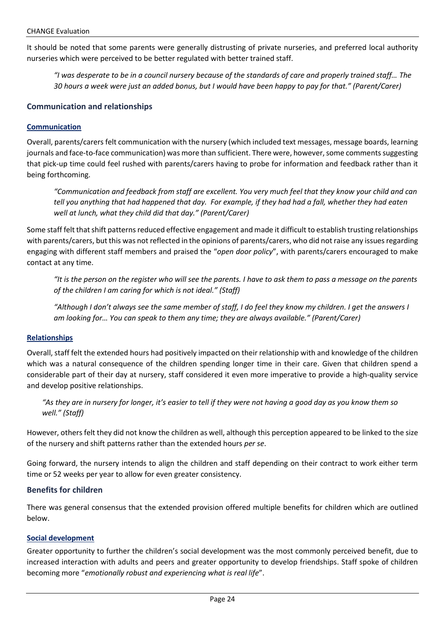It should be noted that some parents were generally distrusting of private nurseries, and preferred local authority nurseries which were perceived to be better regulated with better trained staff.

*"I was desperate to be in a council nursery because of the standards of care and properly trained staff… The 30 hours a week were just an added bonus, but I would have been happy to pay for that." (Parent/Carer)*

#### **Communication and relationships**

#### **Communication**

Overall, parents/carers felt communication with the nursery (which included text messages, message boards, learning journals and face-to-face communication) was more than sufficient. There were, however,some comments suggesting that pick-up time could feel rushed with parents/carers having to probe for information and feedback rather than it being forthcoming.

*"Communication and feedback from staff are excellent. You very much feel that they know your child and can tell you anything that had happened that day. For example, if they had had a fall, whether they had eaten well at lunch, what they child did that day." (Parent/Carer)*

Some staff felt that shift patterns reduced effective engagement and made it difficult to establish trusting relationships with parents/carers, but this was not reflected in the opinions of parents/carers, who did not raise any issues regarding engaging with different staff members and praised the "*open door policy*", with parents/carers encouraged to make contact at any time.

*"It is the person on the register who will see the parents. I have to ask them to pass a message on the parents of the children I am caring for which is not ideal." (Staff)*

*"Although I don't always see the same member of staff, I do feel they know my children. I get the answers I am looking for… You can speak to them any time; they are always available." (Parent/Carer)*

#### **Relationships**

Overall, staff felt the extended hours had positively impacted on their relationship with and knowledge of the children which was a natural consequence of the children spending longer time in their care. Given that children spend a considerable part of their day at nursery, staff considered it even more imperative to provide a high-quality service and develop positive relationships.

*"As they are in nursery for longer, it's easier to tell if they were not having a good day as you know them so well." (Staff)*

However, others felt they did not know the children as well, although this perception appeared to be linked to the size of the nursery and shift patterns rather than the extended hours *per se*.

Going forward, the nursery intends to align the children and staff depending on their contract to work either term time or 52 weeks per year to allow for even greater consistency.

#### **Benefits for children**

There was general consensus that the extended provision offered multiple benefits for children which are outlined below.

#### **Social development**

Greater opportunity to further the children's social development was the most commonly perceived benefit, due to increased interaction with adults and peers and greater opportunity to develop friendships. Staff spoke of children becoming more "*emotionally robust and experiencing what is real life*".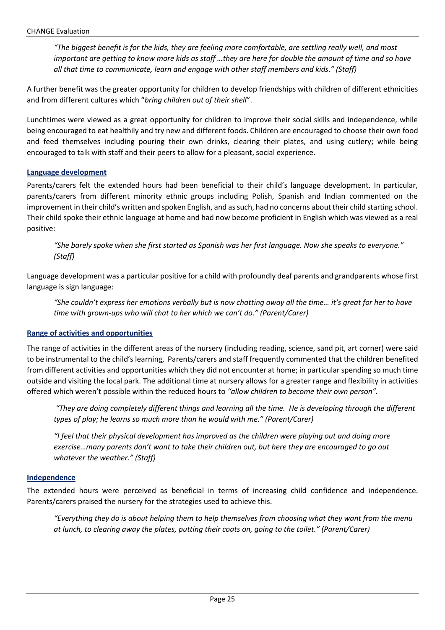*"The biggest benefit is for the kids, they are feeling more comfortable, are settling really well, and most important are getting to know more kids as staff …they are here for double the amount of time and so have all that time to communicate, learn and engage with other staff members and kids." (Staff)*

A further benefit was the greater opportunity for children to develop friendships with children of different ethnicities and from different cultures which "*bring children out of their shell*".

Lunchtimes were viewed as a great opportunity for children to improve their social skills and independence, while being encouraged to eat healthily and try new and different foods. Children are encouraged to choose their own food and feed themselves including pouring their own drinks, clearing their plates, and using cutlery; while being encouraged to talk with staff and their peers to allow for a pleasant, social experience.

#### **Language development**

Parents/carers felt the extended hours had been beneficial to their child's language development. In particular, parents/carers from different minority ethnic groups including Polish, Spanish and Indian commented on the improvement in their child's written and spoken English, and as such, had no concerns about their child starting school. Their child spoke their ethnic language at home and had now become proficient in English which was viewed as a real positive:

*"She barely spoke when she first started as Spanish was her first language. Now she speaks to everyone." (Staff)*

Language development was a particular positive for a child with profoundly deaf parents and grandparents whose first language is sign language:

*"She couldn't express her emotions verbally but is now chatting away all the time… it's great for her to have time with grown-ups who will chat to her which we can't do." (Parent/Carer)*

#### **Range of activities and opportunities**

The range of activities in the different areas of the nursery (including reading, science, sand pit, art corner) were said to be instrumental to the child's learning, Parents/carers and staff frequently commented that the children benefited from different activities and opportunities which they did not encounter at home; in particular spending so much time outside and visiting the local park. The additional time at nursery allows for a greater range and flexibility in activities offered which weren't possible within the reduced hours to *"allow children to become their own person".*

*"They are doing completely different things and learning all the time. He is developing through the different types of play; he learns so much more than he would with me." (Parent/Carer)*

*"I feel that their physical development has improved as the children were playing out and doing more exercise…many parents don't want to take their children out, but here they are encouraged to go out whatever the weather." (Staff)*

#### **Independence**

The extended hours were perceived as beneficial in terms of increasing child confidence and independence. Parents/carers praised the nursery for the strategies used to achieve this.

*"Everything they do is about helping them to help themselves from choosing what they want from the menu at lunch, to clearing away the plates, putting their coats on, going to the toilet." (Parent/Carer)*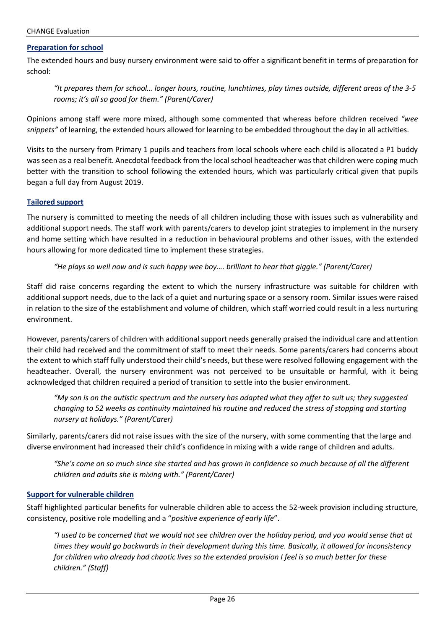#### **Preparation for school**

The extended hours and busy nursery environment were said to offer a significant benefit in terms of preparation for school:

*"It prepares them for school… longer hours, routine, lunchtimes, play times outside, different areas of the 3-5 rooms; it's all so good for them." (Parent/Carer)*

Opinions among staff were more mixed, although some commented that whereas before children received *"wee snippets"* of learning, the extended hours allowed for learning to be embedded throughout the day in all activities.

Visits to the nursery from Primary 1 pupils and teachers from local schools where each child is allocated a P1 buddy was seen as a real benefit. Anecdotal feedback from the local school headteacher was that children were coping much better with the transition to school following the extended hours, which was particularly critical given that pupils began a full day from August 2019.

#### **Tailored support**

The nursery is committed to meeting the needs of all children including those with issues such as vulnerability and additional support needs. The staff work with parents/carers to develop joint strategies to implement in the nursery and home setting which have resulted in a reduction in behavioural problems and other issues, with the extended hours allowing for more dedicated time to implement these strategies.

#### *"He plays so well now and is such happy wee boy…. brilliant to hear that giggle." (Parent/Carer)*

Staff did raise concerns regarding the extent to which the nursery infrastructure was suitable for children with additional support needs, due to the lack of a quiet and nurturing space or a sensory room. Similar issues were raised in relation to the size of the establishment and volume of children, which staff worried could result in a less nurturing environment.

However, parents/carers of children with additional support needs generally praised the individual care and attention their child had received and the commitment of staff to meet their needs. Some parents/carers had concerns about the extent to which staff fully understood their child's needs, but these were resolved following engagement with the headteacher. Overall, the nursery environment was not perceived to be unsuitable or harmful, with it being acknowledged that children required a period of transition to settle into the busier environment.

*"My son is on the autistic spectrum and the nursery has adapted what they offer to suit us; they suggested changing to 52 weeks as continuity maintained his routine and reduced the stress of stopping and starting nursery at holidays." (Parent/Carer)*

Similarly, parents/carers did not raise issues with the size of the nursery, with some commenting that the large and diverse environment had increased their child's confidence in mixing with a wide range of children and adults.

*"She's come on so much since she started and has grown in confidence so much because of all the different children and adults she is mixing with." (Parent/Carer)*

#### **Support for vulnerable children**

Staff highlighted particular benefits for vulnerable children able to access the 52-week provision including structure, consistency, positive role modelling and a "*positive experience of early life*".

*"I used to be concerned that we would not see children over the holiday period, and you would sense that at times they would go backwards in their development during this time. Basically, it allowed for inconsistency for children who already had chaotic lives so the extended provision I feel is so much better for these children." (Staff)*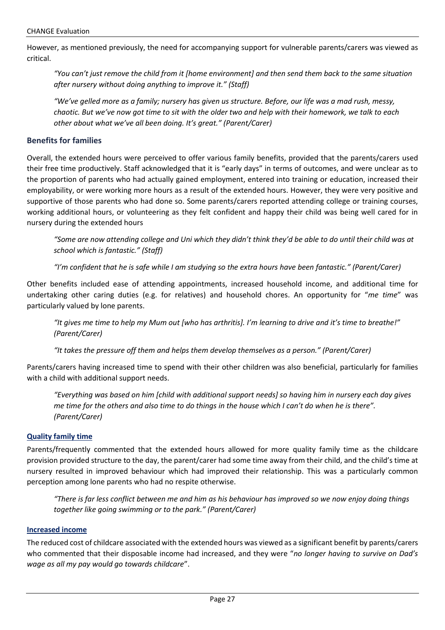However, as mentioned previously, the need for accompanying support for vulnerable parents/carers was viewed as critical.

*"You can't just remove the child from it [home environment] and then send them back to the same situation after nursery without doing anything to improve it." (Staff)*

*"We've gelled more as a family; nursery has given us structure. Before, our life was a mad rush, messy, chaotic. But we've now got time to sit with the older two and help with their homework, we talk to each other about what we've all been doing. It's great." (Parent/Carer)*

#### **Benefits for families**

Overall, the extended hours were perceived to offer various family benefits, provided that the parents/carers used their free time productively. Staff acknowledged that it is "early days" in terms of outcomes, and were unclear as to the proportion of parents who had actually gained employment, entered into training or education, increased their employability, or were working more hours as a result of the extended hours. However, they were very positive and supportive of those parents who had done so. Some parents/carers reported attending college or training courses, working additional hours, or volunteering as they felt confident and happy their child was being well cared for in nursery during the extended hours

*"Some are now attending college and Uni which they didn't think they'd be able to do until their child was at school which is fantastic." (Staff)*

*"I'm confident that he is safe while I am studying so the extra hours have been fantastic." (Parent/Carer)*

Other benefits included ease of attending appointments, increased household income, and additional time for undertaking other caring duties (e.g. for relatives) and household chores. An opportunity for "*me time*" was particularly valued by lone parents.

*"It gives me time to help my Mum out [who has arthritis]. I'm learning to drive and it's time to breathe!" (Parent/Carer)*

*"It takes the pressure off them and helps them develop themselves as a person." (Parent/Carer)*

Parents/carers having increased time to spend with their other children was also beneficial, particularly for families with a child with additional support needs.

*"Everything was based on him [child with additional support needs] so having him in nursery each day gives me time for the others and also time to do things in the house which I can't do when he is there". (Parent/Carer)*

#### **Quality family time**

Parents/frequently commented that the extended hours allowed for more quality family time as the childcare provision provided structure to the day, the parent/carer had some time away from their child, and the child's time at nursery resulted in improved behaviour which had improved their relationship. This was a particularly common perception among lone parents who had no respite otherwise.

*"There is far less conflict between me and him as his behaviour has improved so we now enjoy doing things together like going swimming or to the park." (Parent/Carer)*

#### **Increased income**

The reduced cost of childcare associated with the extended hours was viewed as a significant benefit by parents/carers who commented that their disposable income had increased, and they were "*no longer having to survive on Dad's wage as all my pay would go towards childcare*".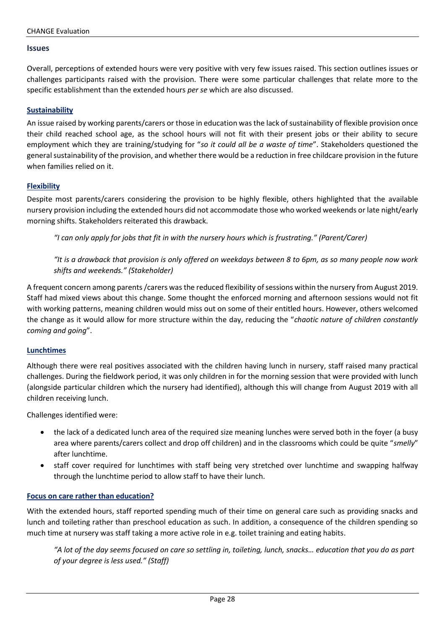#### **Issues**

Overall, perceptions of extended hours were very positive with very few issues raised. This section outlines issues or challenges participants raised with the provision. There were some particular challenges that relate more to the specific establishment than the extended hours *per se* which are also discussed.

#### **Sustainability**

An issue raised by working parents/carers or those in education was the lack of sustainability of flexible provision once their child reached school age, as the school hours will not fit with their present jobs or their ability to secure employment which they are training/studying for "*so it could all be a waste of time*". Stakeholders questioned the general sustainability of the provision, and whether there would be a reduction in free childcare provision in the future when families relied on it.

#### **Flexibility**

Despite most parents/carers considering the provision to be highly flexible, others highlighted that the available nursery provision including the extended hours did not accommodate those who worked weekends or late night/early morning shifts. Stakeholders reiterated this drawback.

*"I can only apply for jobs that fit in with the nursery hours which is frustrating." (Parent/Carer)*

*"It is a drawback that provision is only offered on weekdays between 8 to 6pm, as so many people now work shifts and weekends." (Stakeholder)*

A frequent concern among parents /carers was the reduced flexibility of sessions within the nursery from August 2019. Staff had mixed views about this change. Some thought the enforced morning and afternoon sessions would not fit with working patterns, meaning children would miss out on some of their entitled hours. However, others welcomed the change as it would allow for more structure within the day, reducing the "*chaotic nature of children constantly coming and going*".

#### **Lunchtimes**

Although there were real positives associated with the children having lunch in nursery, staff raised many practical challenges. During the fieldwork period, it was only children in for the morning session that were provided with lunch (alongside particular children which the nursery had identified), although this will change from August 2019 with all children receiving lunch.

Challenges identified were:

- the lack of a dedicated lunch area of the required size meaning lunches were served both in the foyer (a busy area where parents/carers collect and drop off children) and in the classrooms which could be quite "*smelly*" after lunchtime.
- staff cover required for lunchtimes with staff being very stretched over lunchtime and swapping halfway through the lunchtime period to allow staff to have their lunch.

#### **Focus on care rather than education?**

With the extended hours, staff reported spending much of their time on general care such as providing snacks and lunch and toileting rather than preschool education as such. In addition, a consequence of the children spending so much time at nursery was staff taking a more active role in e.g. toilet training and eating habits.

*"A lot of the day seems focused on care so settling in, toileting, lunch, snacks… education that you do as part of your degree is less used." (Staff)*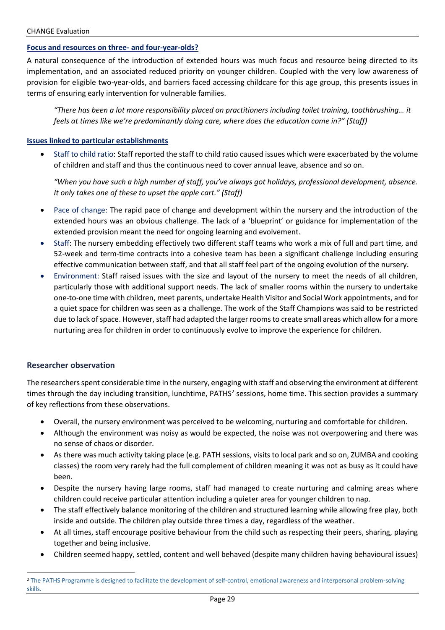#### **Focus and resources on three- and four-year-olds?**

A natural consequence of the introduction of extended hours was much focus and resource being directed to its implementation, and an associated reduced priority on younger children. Coupled with the very low awareness of provision for eligible two-year-olds, and barriers faced accessing childcare for this age group, this presents issues in terms of ensuring early intervention for vulnerable families.

*"There has been a lot more responsibility placed on practitioners including toilet training, toothbrushing… it feels at times like we're predominantly doing care, where does the education come in?" (Staff)*

#### **Issues linked to particular establishments**

• Staff to child ratio: Staff reported the staff to child ratio caused issues which were exacerbated by the volume of children and staff and thus the continuous need to cover annual leave, absence and so on.

*"When you have such a high number of staff, you've always got holidays, professional development, absence. It only takes one of these to upset the apple cart." (Staff)*

- Pace of change: The rapid pace of change and development within the nursery and the introduction of the extended hours was an obvious challenge. The lack of a 'blueprint' or guidance for implementation of the extended provision meant the need for ongoing learning and evolvement.
- Staff: The nursery embedding effectively two different staff teams who work a mix of full and part time, and 52-week and term-time contracts into a cohesive team has been a significant challenge including ensuring effective communication between staff, and that all staff feel part of the ongoing evolution of the nursery.
- Environment: Staff raised issues with the size and layout of the nursery to meet the needs of all children, particularly those with additional support needs. The lack of smaller rooms within the nursery to undertake one-to-one time with children, meet parents, undertake Health Visitor and Social Work appointments, and for a quiet space for children was seen as a challenge. The work of the Staff Champions was said to be restricted due to lack of space. However, staff had adapted the larger rooms to create small areas which allow for a more nurturing area for children in order to continuously evolve to improve the experience for children.

#### **Researcher observation**

The researchers spent considerable time in the nursery, engaging with staff and observing the environment at different times through the day including transition, lunchtime, PATHS<sup>2</sup> sessions, home time. This section provides a summary of key reflections from these observations.

- Overall, the nursery environment was perceived to be welcoming, nurturing and comfortable for children.
- Although the environment was noisy as would be expected, the noise was not overpowering and there was no sense of chaos or disorder.
- As there was much activity taking place (e.g. PATH sessions, visits to local park and so on, ZUMBA and cooking classes) the room very rarely had the full complement of children meaning it was not as busy as it could have been.
- Despite the nursery having large rooms, staff had managed to create nurturing and calming areas where children could receive particular attention including a quieter area for younger children to nap.
- The staff effectively balance monitoring of the children and structured learning while allowing free play, both inside and outside. The children play outside three times a day, regardless of the weather.
- At all times, staff encourage positive behaviour from the child such as respecting their peers, sharing, playing together and being inclusive.
- Children seemed happy, settled, content and well behaved (despite many children having behavioural issues)

<sup>&</sup>lt;sup>2</sup> The PATHS Programme is designed to facilitate the development of self-control, emotional awareness and interpersonal problem-solving skills.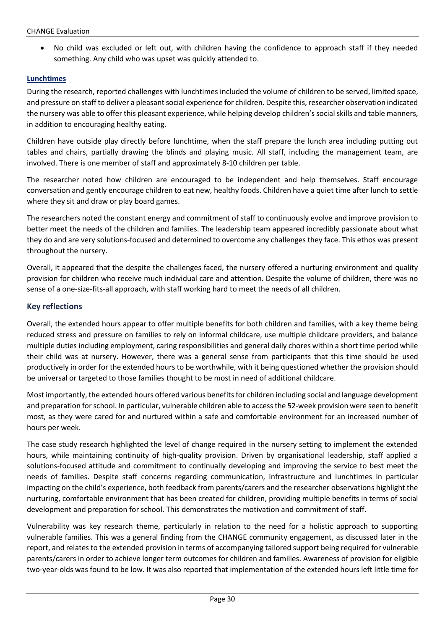• No child was excluded or left out, with children having the confidence to approach staff if they needed something. Any child who was upset was quickly attended to.

#### **Lunchtimes**

During the research, reported challenges with lunchtimes included the volume of children to be served, limited space, and pressure on staff to deliver a pleasant social experience for children. Despite this, researcher observation indicated the nursery was able to offer this pleasant experience, while helping develop children's social skills and table manners, in addition to encouraging healthy eating.

Children have outside play directly before lunchtime, when the staff prepare the lunch area including putting out tables and chairs, partially drawing the blinds and playing music. All staff, including the management team, are involved. There is one member of staff and approximately 8-10 children per table.

The researcher noted how children are encouraged to be independent and help themselves. Staff encourage conversation and gently encourage children to eat new, healthy foods. Children have a quiet time after lunch to settle where they sit and draw or play board games.

The researchers noted the constant energy and commitment of staff to continuously evolve and improve provision to better meet the needs of the children and families. The leadership team appeared incredibly passionate about what they do and are very solutions-focused and determined to overcome any challenges they face. This ethos was present throughout the nursery.

Overall, it appeared that the despite the challenges faced, the nursery offered a nurturing environment and quality provision for children who receive much individual care and attention. Despite the volume of children, there was no sense of a one-size-fits-all approach, with staff working hard to meet the needs of all children.

#### **Key reflections**

Overall, the extended hours appear to offer multiple benefits for both children and families, with a key theme being reduced stress and pressure on families to rely on informal childcare, use multiple childcare providers, and balance multiple duties including employment, caring responsibilities and general daily chores within a short time period while their child was at nursery. However, there was a general sense from participants that this time should be used productively in order for the extended hours to be worthwhile, with it being questioned whether the provision should be universal or targeted to those families thought to be most in need of additional childcare.

Most importantly, the extended hours offered various benefits for children including social and language development and preparation for school. In particular, vulnerable children able to access the 52-week provision were seen to benefit most, as they were cared for and nurtured within a safe and comfortable environment for an increased number of hours per week.

The case study research highlighted the level of change required in the nursery setting to implement the extended hours, while maintaining continuity of high-quality provision. Driven by organisational leadership, staff applied a solutions-focused attitude and commitment to continually developing and improving the service to best meet the needs of families. Despite staff concerns regarding communication, infrastructure and lunchtimes in particular impacting on the child's experience, both feedback from parents/carers and the researcher observations highlight the nurturing, comfortable environment that has been created for children, providing multiple benefits in terms of social development and preparation for school. This demonstrates the motivation and commitment of staff.

Vulnerability was key research theme, particularly in relation to the need for a holistic approach to supporting vulnerable families. This was a general finding from the CHANGE community engagement, as discussed later in the report, and relates to the extended provision in terms of accompanying tailored support being required for vulnerable parents/carers in order to achieve longer term outcomes for children and families. Awareness of provision for eligible two-year-olds was found to be low. It was also reported that implementation of the extended hours left little time for